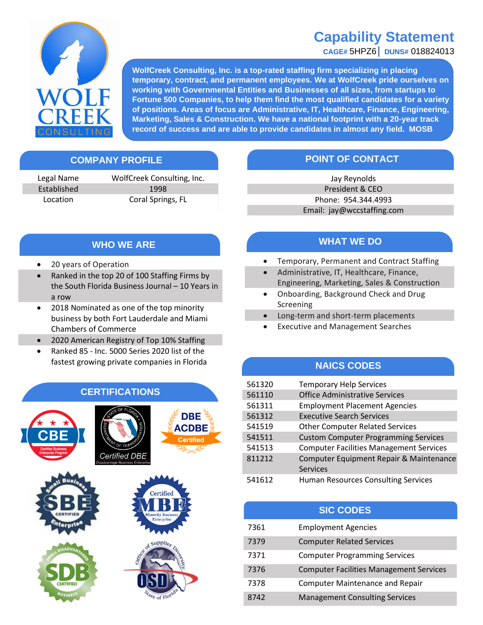## **Capability Statement**

**CAGE#** 5HPZ6│ **DUNS#** 018824013



**WolfCreek Consulting, Inc. is a top-rated staffing firm specializing in placing temporary, contract, and permanent employees. We at WolfCreek pride ourselves on working with Governmental Entities and Businesses of all sizes, from startups to Fortune 500 Companies, to help them find the most qualified candidates for a variety of positions. Areas of focus are Administrative, IT, Healthcare, Finance, Engineering, Marketing, Sales & Construction. We have a national footprint with a 20-year track record of success and are able to provide candidates in almost any field. MOSB**

Legal Name WolfCreek Consulting, Inc. Established 1998 Location Coral Springs, FL

### **COMPANY PROFILE POINT OF CONTACT**

Jay Reynolds President & CEO Phone: 954.344.4993 Email: jay@wccstaffing.com

#### **WHO WE ARE**

- 20 years of Operation
- Ranked in the top 20 of 100 Staffing Firms by the South Florida Business Journal – 10 Years in a row
- 2018 Nominated as one of the top minority business by both Fort Lauderdale and Miami Chambers of Commerce
- 2020 American Registry of Top 10% Staffing
- Ranked 85 Inc. 5000 Series 2020 list of the fastest growing private companies in Florida

#### **CERTIFICATIONS**



#### **WHAT WE DO**

- Temporary, Permanent and Contract Staffing e
- Administrative, IT, Healthcare, Finance, Engineering, Marketing, Sales & Construction
- Onboarding, Background Check and Drug Screening
- Long-term and short-term placements
- Executive and Management Searches

#### **NAICS CODES**

| 561320 | <b>Temporary Help Services</b>                 |  |
|--------|------------------------------------------------|--|
| 561110 | <b>Office Administrative Services</b>          |  |
| 561311 | <b>Employment Placement Agencies</b>           |  |
| 561312 | <b>Executive Search Services</b>               |  |
| 541519 | <b>Other Computer Related Services</b>         |  |
| 541511 | <b>Custom Computer Programming Services</b>    |  |
| 541513 | <b>Computer Facilities Management Services</b> |  |
| 811212 | Computer Equipment Repair & Maintenance        |  |
|        | <b>Services</b>                                |  |
| 541612 | <b>Human Resources Consulting Services</b>     |  |

|      | <b>SIC CODES</b>                               |
|------|------------------------------------------------|
| 7361 | <b>Employment Agencies</b>                     |
| 7379 | <b>Computer Related Services</b>               |
| 7371 | <b>Computer Programming Services</b>           |
| 7376 | <b>Computer Facilities Management Services</b> |
| 7378 | <b>Computer Maintenance and Repair</b>         |
| 8742 | <b>Management Consulting Services</b>          |